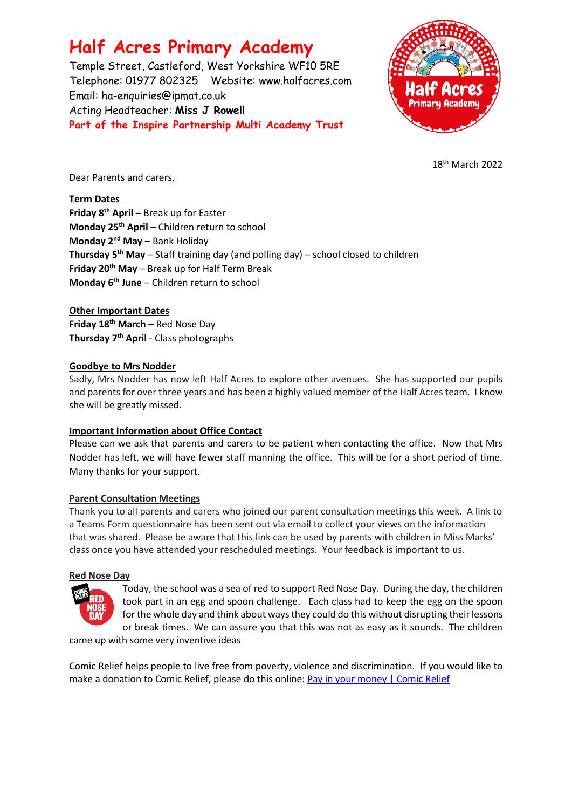# **Half Acres Primary Academy**

Temple Street, Castleford, West Yorkshire WF10 5RE Telephone: 01977 802325 Website: [www.halfacres.com](http://www.halfacres.com/) Email: ha-enquiries@ipmat.co.uk Acting Headteacher: **Miss J Rowell Part of the Inspire Partnership Multi Academy Trust**



18 th March 2022

Dear Parents and carers,

# **Term Dates**

**Friday 8th April** – Break up for Easter **Monday 25th April** – Children return to school **Monday 2nd May** – Bank Holiday **Thursday 5th May** – Staff training day (and polling day) – school closed to children **Friday 20th May** – Break up for Half Term Break **Monday 6th June** – Children return to school

# **Other Important Dates**

**Friday 18th March –** Red Nose Day **Thursday 7th April** - Class photographs

## **Goodbye to Mrs Nodder**

Sadly, Mrs Nodder has now left Half Acres to explore other avenues. She has supported our pupils and parents for over three years and has been a highly valued member of the Half Acres team. I know she will be greatly missed.

# **Important Information about Office Contact**

Please can we ask that parents and carers to be patient when contacting the office. Now that Mrs Nodder has left, we will have fewer staff manning the office. This will be for a short period of time. Many thanks for your support.

# **Parent Consultation Meetings**

Thank you to all parents and carers who joined our parent consultation meetings this week. A link to a Teams Form questionnaire has been sent out via email to collect your views on the information that was shared. Please be aware that this link can be used by parents with children in Miss Marks' class once you have attended your rescheduled meetings. Your feedback is important to us.

#### **Red Nose Day**



Today, the school was a sea of red to support Red Nose Day. During the day, the children took part in an egg and spoon challenge. Each class had to keep the egg on the spoon for the whole day and think about ways they could do this without disrupting their lessons or break times. We can assure you that this was not as easy as it sounds. The children

came up with some very inventive ideas

Comic Relief helps people to live free from poverty, violence and discrimination. If you would like to make a donation to Comic Relief, please do this online: [Pay in your money | Comic Relief](https://www.comicrelief.com/rednoseday/fundraise/pay-in-your-money)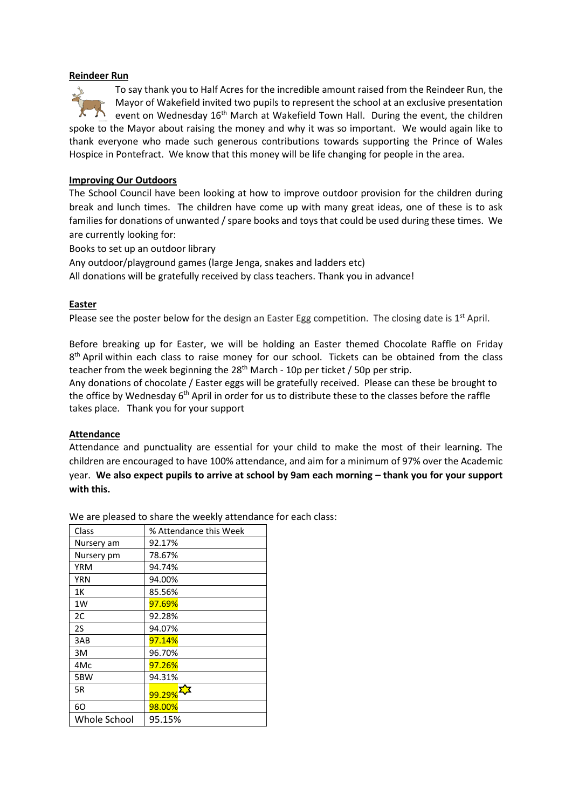#### **Reindeer Run**

To say thank you to Half Acres for the incredible amount raised from the Reindeer Run, the Mayor of Wakefield invited two pupils to represent the school at an exclusive presentation event on Wednesday 16<sup>th</sup> March at Wakefield Town Hall. During the event, the children spoke to the Mayor about raising the money and why it was so important. We would again like to thank everyone who made such generous contributions towards supporting the Prince of Wales Hospice in Pontefract. We know that this money will be life changing for people in the area.

#### **Improving Our Outdoors**

The School Council have been looking at how to improve outdoor provision for the children during break and lunch times. The children have come up with many great ideas, one of these is to ask families for donations of unwanted / spare books and toys that could be used during these times. We are currently looking for:

Books to set up an outdoor library

Any outdoor/playground games (large Jenga, snakes and ladders etc)

All donations will be gratefully received by class teachers. Thank you in advance!

## **Easter**

Please see the poster below for the design an Easter Egg competition. The closing date is  $1<sup>st</sup>$  April.

Before breaking up for Easter, we will be holding an Easter themed Chocolate Raffle on Friday 8<sup>th</sup> April within each class to raise money for our school. Tickets can be obtained from the class teacher from the week beginning the 28<sup>th</sup> March - 10p per ticket / 50p per strip.

Any donations of chocolate / Easter eggs will be gratefully received. Please can these be brought to the office by Wednesday 6<sup>th</sup> April in order for us to distribute these to the classes before the raffle takes place. Thank you for your support

#### **Attendance**

Attendance and punctuality are essential for your child to make the most of their learning. The children are encouraged to have 100% attendance, and aim for a minimum of 97% over the Academic year. We also expect pupils to arrive at school by 9am each morning – thank you for your support **with this.**

Class % Attendance this Week Nursery am 92.17% Nursery pm 78.67% YRM 94.74% YRN 94.00% 1K 85.56% 1W 97.69% 2C 92.28% 2S 94.07% 3AB 97.14% 3M 96.70% 4Mc 97.26% 5BW 94.31%  $\frac{5R}{99.29\%}$ 6O 98.00% Whole School 95.15%

We are pleased to share the weekly attendance for each class: